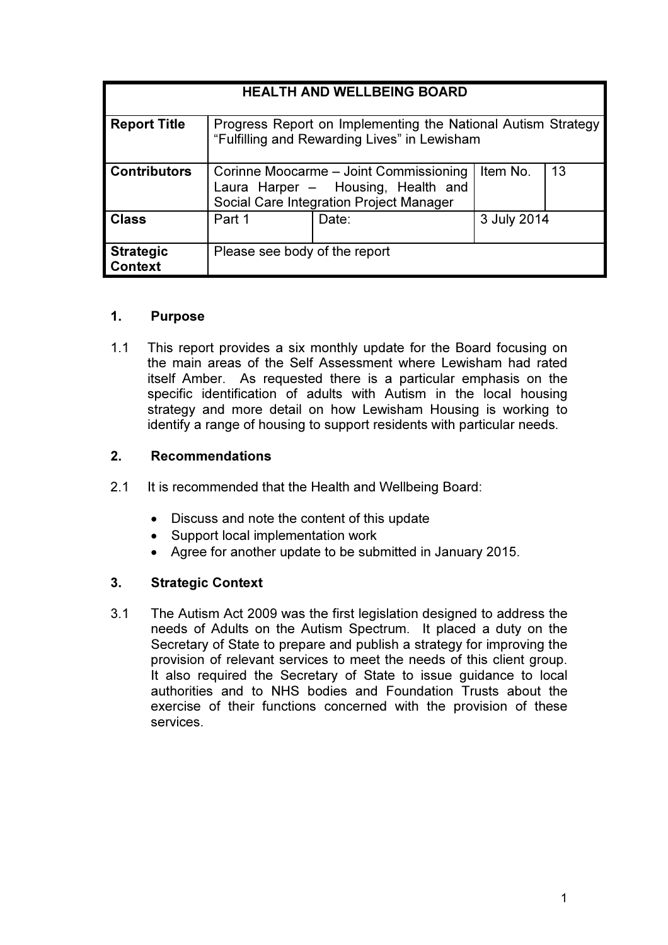| <b>HEALTH AND WELLBEING BOARD</b>  |                                                                                                                         |       |             |    |
|------------------------------------|-------------------------------------------------------------------------------------------------------------------------|-------|-------------|----|
| <b>Report Title</b>                | Progress Report on Implementing the National Autism Strategy<br>"Fulfilling and Rewarding Lives" in Lewisham            |       |             |    |
| <b>Contributors</b>                | Corinne Moocarme - Joint Commissioning<br>Laura Harper - Housing, Health and<br>Social Care Integration Project Manager |       | Item No.    | 13 |
| <b>Class</b>                       | Part 1                                                                                                                  | Date: | 3 July 2014 |    |
| <b>Strategic</b><br><b>Context</b> | Please see body of the report                                                                                           |       |             |    |

## 1. Purpose

1.1 This report provides a six monthly update for the Board focusing on the main areas of the Self Assessment where Lewisham had rated itself Amber. As requested there is a particular emphasis on the specific identification of adults with Autism in the local housing strategy and more detail on how Lewisham Housing is working to identify a range of housing to support residents with particular needs.

## 2. Recommendations

- 2.1 It is recommended that the Health and Wellbeing Board:
	- Discuss and note the content of this update
	- Support local implementation work
	- Agree for another update to be submitted in January 2015.

# 3. Strategic Context

3.1 The Autism Act 2009 was the first legislation designed to address the needs of Adults on the Autism Spectrum. It placed a duty on the Secretary of State to prepare and publish a strategy for improving the provision of relevant services to meet the needs of this client group. It also required the Secretary of State to issue guidance to local authorities and to NHS bodies and Foundation Trusts about the exercise of their functions concerned with the provision of these services.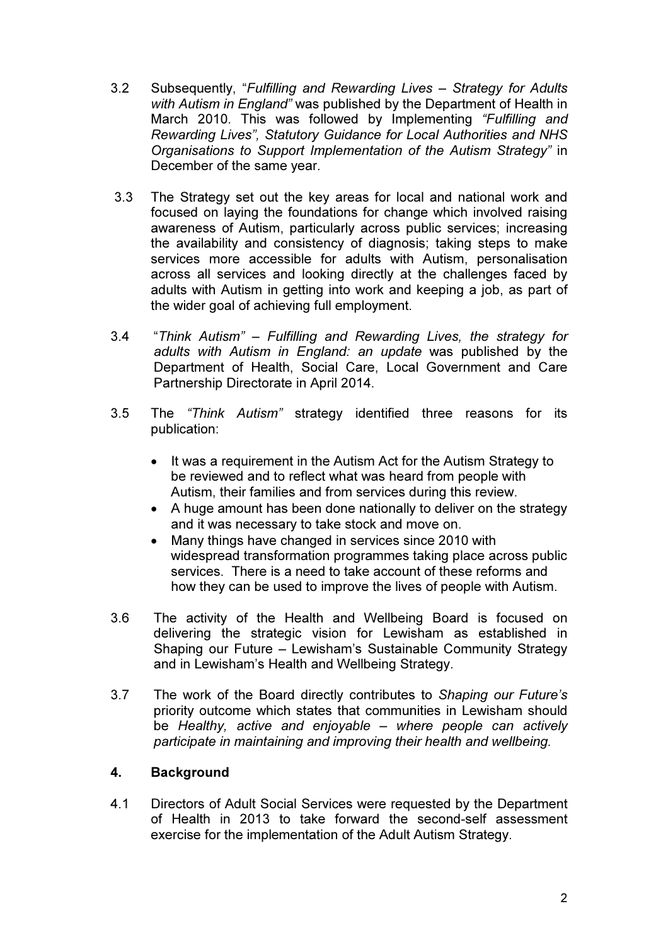- 3.2 Subsequently, "*Fulfilling and Rewarding Lives Strategy for Adults with Autism in England"* was published by the Department of Health in March 2010. This was followed by Implementing *"Fulfilling and Rewarding Lives", Statutory Guidance for Local Authorities and NHS Organisations to Support Implementation of the Autism Strategy"* in December of the same year.
- 3.3 The Strategy set out the key areas for local and national work and focused on laying the foundations for change which involved raising awareness of Autism, particularly across public services; increasing the availability and consistency of diagnosis; taking steps to make services more accessible for adults with Autism, personalisation across all services and looking directly at the challenges faced by adults with Autism in getting into work and keeping a job, as part of the wider goal of achieving full employment.
- 3.4 "*Think Autism" Fulfilling and Rewarding Lives, the strategy for adults with Autism in England: an update* was published by the Department of Health, Social Care, Local Government and Care Partnership Directorate in April 2014.
- 3.5 The *"Think Autism"* strategy identified three reasons for its publication:
	- It was a requirement in the Autism Act for the Autism Strategy to be reviewed and to reflect what was heard from people with Autism, their families and from services during this review.
	- A huge amount has been done nationally to deliver on the strategy and it was necessary to take stock and move on.
	- Many things have changed in services since 2010 with widespread transformation programmes taking place across public services. There is a need to take account of these reforms and how they can be used to improve the lives of people with Autism.
- 3.6 The activity of the Health and Wellbeing Board is focused on delivering the strategic vision for Lewisham as established in Shaping our Future – Lewisham's Sustainable Community Strategy and in Lewisham's Health and Wellbeing Strategy.
- 3.7 The work of the Board directly contributes to *Shaping our Future's*  priority outcome which states that communities in Lewisham should be *Healthy, active and enjoyable – where people can actively participate in maintaining and improving their health and wellbeing.*

# 4. Background

4.1 Directors of Adult Social Services were requested by the Department of Health in 2013 to take forward the second-self assessment exercise for the implementation of the Adult Autism Strategy.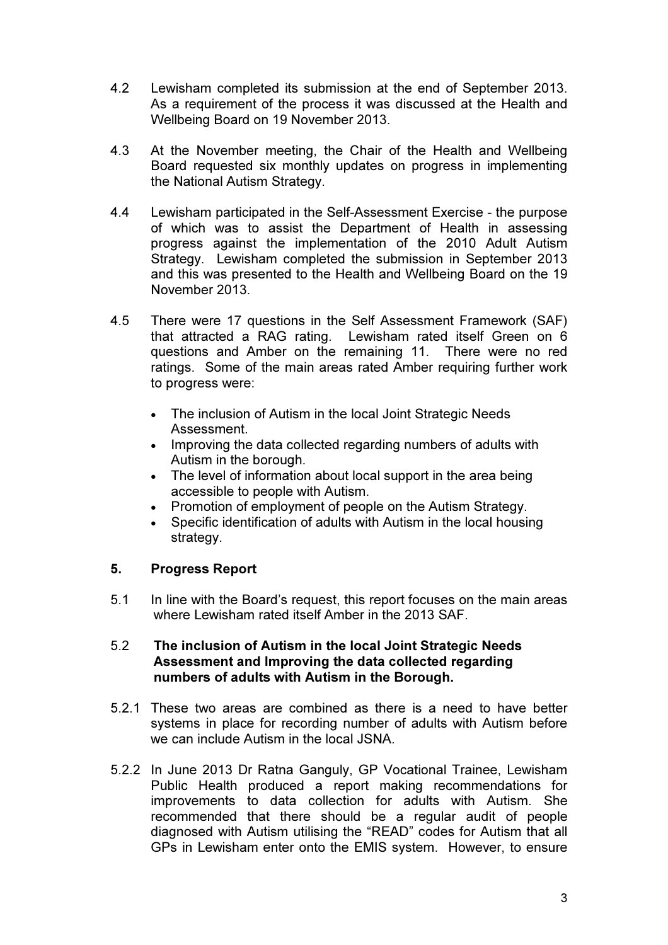- 4.2 Lewisham completed its submission at the end of September 2013. As a requirement of the process it was discussed at the Health and Wellbeing Board on 19 November 2013.
- 4.3 At the November meeting, the Chair of the Health and Wellbeing Board requested six monthly updates on progress in implementing the National Autism Strategy.
- 4.4 Lewisham participated in the Self-Assessment Exercise the purpose of which was to assist the Department of Health in assessing progress against the implementation of the 2010 Adult Autism Strategy. Lewisham completed the submission in September 2013 and this was presented to the Health and Wellbeing Board on the 19 November 2013.
- 4.5 There were 17 questions in the Self Assessment Framework (SAF) that attracted a RAG rating. Lewisham rated itself Green on 6 questions and Amber on the remaining 11. There were no red ratings. Some of the main areas rated Amber requiring further work to progress were:
	- The inclusion of Autism in the local Joint Strategic Needs Assessment.
	- Improving the data collected regarding numbers of adults with Autism in the borough.
	- The level of information about local support in the area being accessible to people with Autism.
	- Promotion of employment of people on the Autism Strategy.
	- Specific identification of adults with Autism in the local housing strategy.

# 5. Progress Report

5.1 In line with the Board's request, this report focuses on the main areas where Lewisham rated itself Amber in the 2013 SAF.

#### 5.2 The inclusion of Autism in the local Joint Strategic Needs Assessment and Improving the data collected regarding numbers of adults with Autism in the Borough.

- 5.2.1 These two areas are combined as there is a need to have better systems in place for recording number of adults with Autism before we can include Autism in the local JSNA.
- 5.2.2 In June 2013 Dr Ratna Ganguly, GP Vocational Trainee, Lewisham Public Health produced a report making recommendations for improvements to data collection for adults with Autism. She recommended that there should be a regular audit of people diagnosed with Autism utilising the "READ" codes for Autism that all GPs in Lewisham enter onto the EMIS system. However, to ensure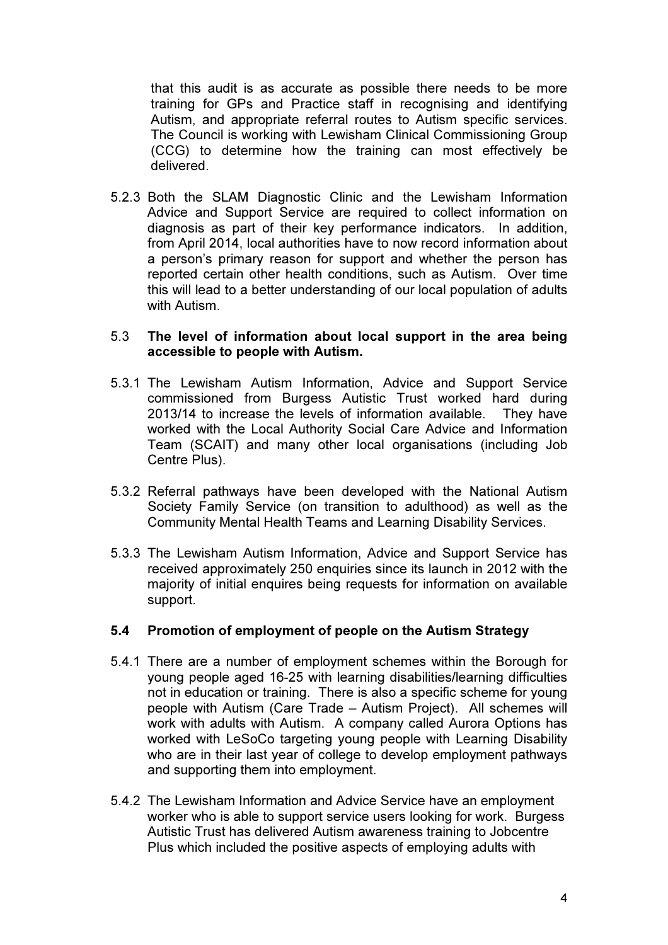that this audit is as accurate as possible there needs to be more training for GPs and Practice staff in recognising and identifying Autism, and appropriate referral routes to Autism specific services. The Council is working with Lewisham Clinical Commissioning Group (CCG) to determine how the training can most effectively be delivered.

5.2.3 Both the SLAM Diagnostic Clinic and the Lewisham Information Advice and Support Service are required to collect information on diagnosis as part of their key performance indicators. In addition, from April 2014, local authorities have to now record information about a person's primary reason for support and whether the person has reported certain other health conditions, such as Autism. Over time this will lead to a better understanding of our local population of adults with Autism

#### 5.3 The level of information about local support in the area being accessible to people with Autism.

- 5.3.1 The Lewisham Autism Information, Advice and Support Service commissioned from Burgess Autistic Trust worked hard during 2013/14 to increase the levels of information available. They have worked with the Local Authority Social Care Advice and Information Team (SCAIT) and many other local organisations (including Job Centre Plus).
- 5.3.2 Referral pathways have been developed with the National Autism Society Family Service (on transition to adulthood) as well as the Community Mental Health Teams and Learning Disability Services.
- 5.3.3 The Lewisham Autism Information, Advice and Support Service has received approximately 250 enquiries since its launch in 2012 with the majority of initial enquires being requests for information on available support.

#### 5.4 Promotion of employment of people on the Autism Strategy

- 5.4.1 There are a number of employment schemes within the Borough for young people aged 16-25 with learning disabilities/learning difficulties not in education or training. There is also a specific scheme for young people with Autism (Care Trade – Autism Project). All schemes will work with adults with Autism. A company called Aurora Options has worked with LeSoCo targeting young people with Learning Disability who are in their last year of college to develop employment pathways and supporting them into employment.
- 5.4.2 The Lewisham Information and Advice Service have an employment worker who is able to support service users looking for work. Burgess Autistic Trust has delivered Autism awareness training to Jobcentre Plus which included the positive aspects of employing adults with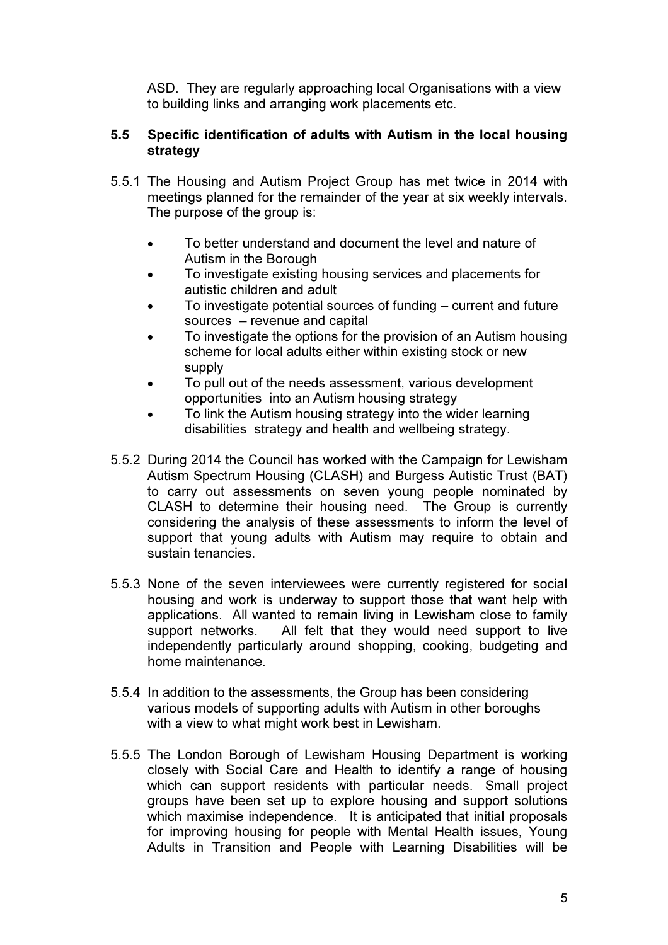ASD. They are regularly approaching local Organisations with a view to building links and arranging work placements etc.

## 5.5 Specific identification of adults with Autism in the local housing strategy

- 5.5.1 The Housing and Autism Project Group has met twice in 2014 with meetings planned for the remainder of the year at six weekly intervals. The purpose of the group is:
	- To better understand and document the level and nature of Autism in the Borough
	- To investigate existing housing services and placements for autistic children and adult
	- To investigate potential sources of funding current and future sources – revenue and capital
	- To investigate the options for the provision of an Autism housing scheme for local adults either within existing stock or new supply
	- To pull out of the needs assessment, various development opportunities into an Autism housing strategy
	- To link the Autism housing strategy into the wider learning disabilities strategy and health and wellbeing strategy.
- 5.5.2 During 2014 the Council has worked with the Campaign for Lewisham Autism Spectrum Housing (CLASH) and Burgess Autistic Trust (BAT) to carry out assessments on seven young people nominated by CLASH to determine their housing need. The Group is currently considering the analysis of these assessments to inform the level of support that young adults with Autism may require to obtain and sustain tenancies.
- 5.5.3 None of the seven interviewees were currently registered for social housing and work is underway to support those that want help with applications. All wanted to remain living in Lewisham close to family support networks. All felt that they would need support to live independently particularly around shopping, cooking, budgeting and home maintenance.
- 5.5.4 In addition to the assessments, the Group has been considering various models of supporting adults with Autism in other boroughs with a view to what might work best in Lewisham.
- 5.5.5 The London Borough of Lewisham Housing Department is working closely with Social Care and Health to identify a range of housing which can support residents with particular needs. Small project groups have been set up to explore housing and support solutions which maximise independence. It is anticipated that initial proposals for improving housing for people with Mental Health issues, Young Adults in Transition and People with Learning Disabilities will be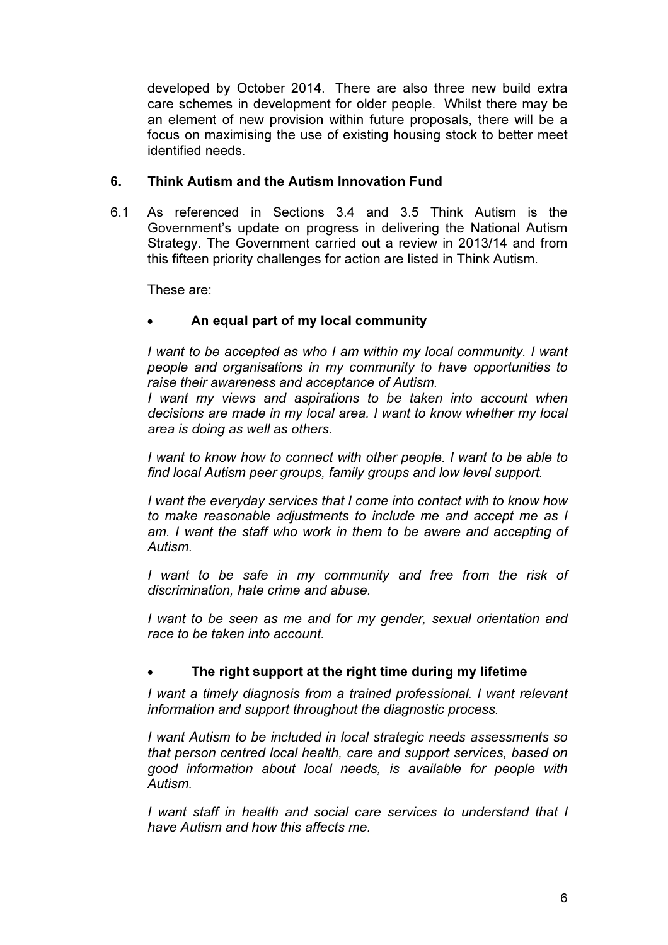developed by October 2014. There are also three new build extra care schemes in development for older people. Whilst there may be an element of new provision within future proposals, there will be a focus on maximising the use of existing housing stock to better meet identified needs.

## 6. Think Autism and the Autism Innovation Fund

6.1 As referenced in Sections 3.4 and 3.5 Think Autism is the Government's update on progress in delivering the National Autism Strategy. The Government carried out a review in 2013/14 and from this fifteen priority challenges for action are listed in Think Autism.

These are:

## • An equal part of my local community

I want to be accepted as who I am within my local community. I want people and organisations in my community to have opportunities to raise their awareness and acceptance of Autism.

I want my views and aspirations to be taken into account when decisions are made in my local area. I want to know whether my local area is doing as well as others.

I want to know how to connect with other people. I want to be able to find local Autism peer groups, family groups and low level support.

I want the everyday services that I come into contact with to know how to make reasonable adjustments to include me and accept me as I am. I want the staff who work in them to be aware and accepting of Autism.

I want to be safe in my community and free from the risk of discrimination, hate crime and abuse.

I want to be seen as me and for my gender, sexual orientation and race to be taken into account.

#### The right support at the right time during my lifetime

I want a timely diagnosis from a trained professional. I want relevant information and support throughout the diagnostic process.

I want Autism to be included in local strategic needs assessments so that person centred local health, care and support services, based on good information about local needs, is available for people with Autism.

I want staff in health and social care services to understand that I have Autism and how this affects me.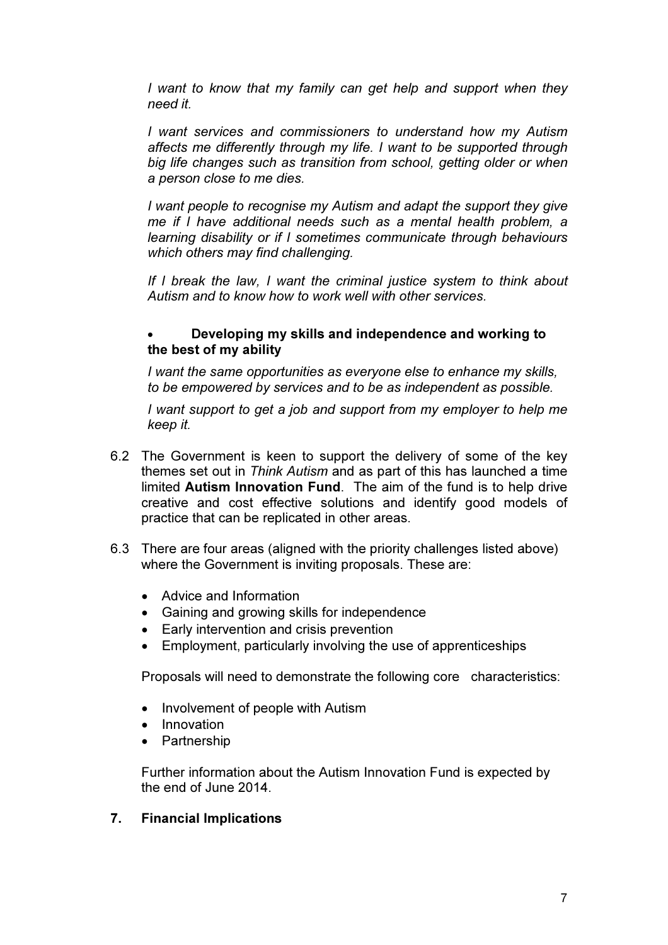I want to know that my family can get help and support when they need it.

I want services and commissioners to understand how my Autism affects me differently through my life. I want to be supported through big life changes such as transition from school, getting older or when a person close to me dies.

I want people to recognise my Autism and adapt the support they give me if I have additional needs such as a mental health problem, a learning disability or if I sometimes communicate through behaviours which others may find challenging.

If I break the law, I want the criminal justice system to think about Autism and to know how to work well with other services.

### • Developing my skills and independence and working to the best of my ability

I want the same opportunities as everyone else to enhance my skills, to be empowered by services and to be as independent as possible.

I want support to get a job and support from my employer to help me keep it.

- 6.2 The Government is keen to support the delivery of some of the key themes set out in Think Autism and as part of this has launched a time limited Autism Innovation Fund. The aim of the fund is to help drive creative and cost effective solutions and identify good models of practice that can be replicated in other areas.
- 6.3 There are four areas (aligned with the priority challenges listed above) where the Government is inviting proposals. These are:
	- Advice and Information
	- Gaining and growing skills for independence
	- Early intervention and crisis prevention
	- Employment, particularly involving the use of apprenticeships

Proposals will need to demonstrate the following core characteristics:

- Involvement of people with Autism
- Innovation
- **Partnership**

Further information about the Autism Innovation Fund is expected by the end of June 2014.

# 7. Financial Implications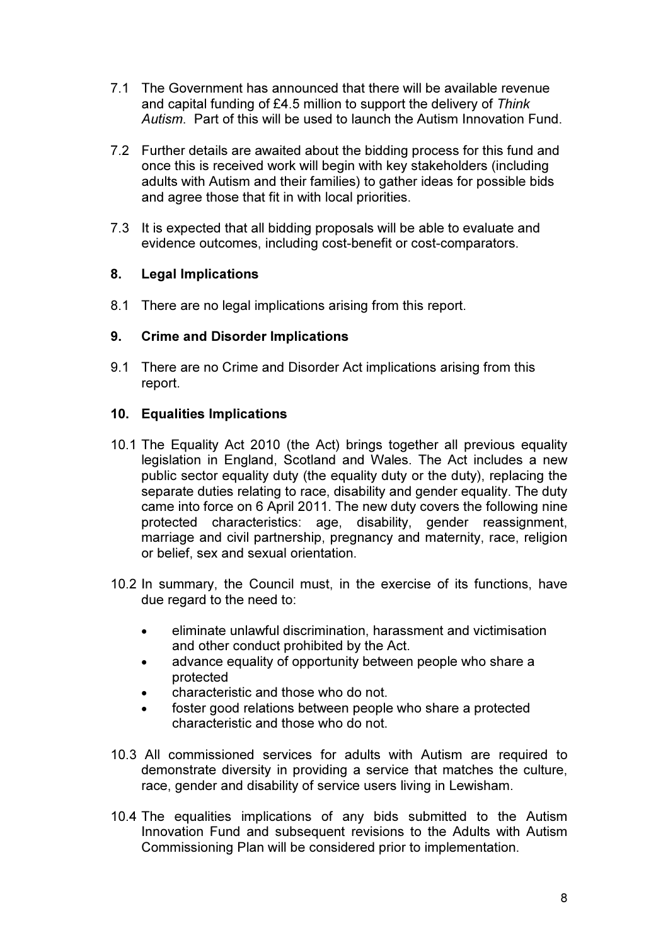- 7.1 The Government has announced that there will be available revenue and capital funding of £4.5 million to support the delivery of Think Autism. Part of this will be used to launch the Autism Innovation Fund.
- 7.2 Further details are awaited about the bidding process for this fund and once this is received work will begin with key stakeholders (including adults with Autism and their families) to gather ideas for possible bids and agree those that fit in with local priorities.
- 7.3 It is expected that all bidding proposals will be able to evaluate and evidence outcomes, including cost-benefit or cost-comparators.

## 8. Legal Implications

8.1 There are no legal implications arising from this report.

#### 9. Crime and Disorder Implications

9.1 There are no Crime and Disorder Act implications arising from this report.

## 10. Equalities Implications

- 10.1 The Equality Act 2010 (the Act) brings together all previous equality legislation in England, Scotland and Wales. The Act includes a new public sector equality duty (the equality duty or the duty), replacing the separate duties relating to race, disability and gender equality. The duty came into force on 6 April 2011. The new duty covers the following nine protected characteristics: age, disability, gender reassignment, marriage and civil partnership, pregnancy and maternity, race, religion or belief, sex and sexual orientation.
- 10.2 In summary, the Council must, in the exercise of its functions, have due regard to the need to:
	- eliminate unlawful discrimination, harassment and victimisation and other conduct prohibited by the Act.
	- advance equality of opportunity between people who share a protected
	- characteristic and those who do not.
	- foster good relations between people who share a protected characteristic and those who do not.
- 10.3 All commissioned services for adults with Autism are required to demonstrate diversity in providing a service that matches the culture, race, gender and disability of service users living in Lewisham.
- 10.4 The equalities implications of any bids submitted to the Autism Innovation Fund and subsequent revisions to the Adults with Autism Commissioning Plan will be considered prior to implementation.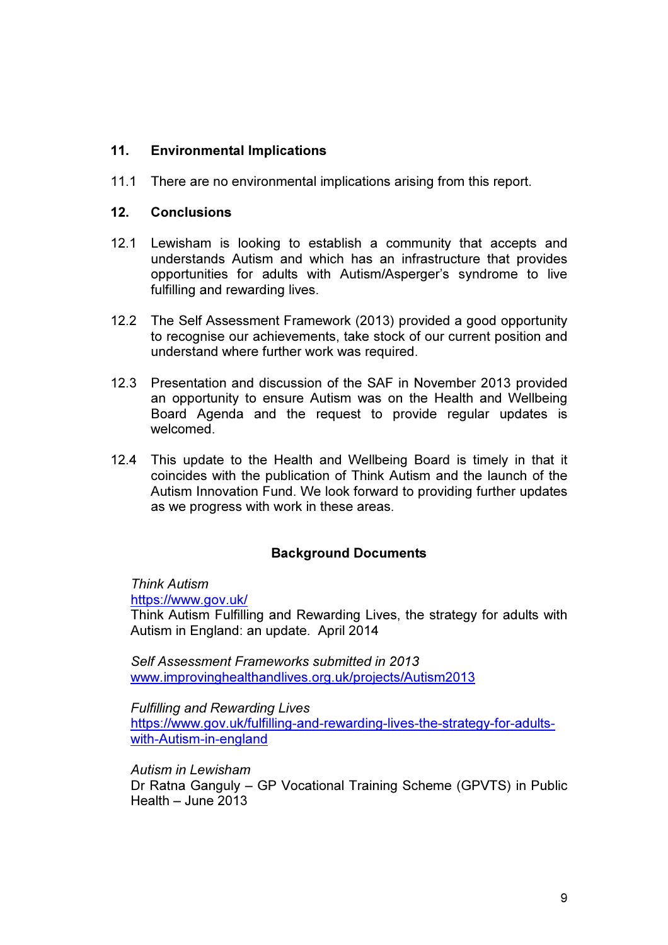## 11. Environmental Implications

11.1 There are no environmental implications arising from this report.

#### 12. Conclusions

- 12.1 Lewisham is looking to establish a community that accepts and understands Autism and which has an infrastructure that provides opportunities for adults with Autism/Asperger's syndrome to live fulfilling and rewarding lives.
- 12.2 The Self Assessment Framework (2013) provided a good opportunity to recognise our achievements, take stock of our current position and understand where further work was required.
- 12.3 Presentation and discussion of the SAF in November 2013 provided an opportunity to ensure Autism was on the Health and Wellbeing Board Agenda and the request to provide regular updates is welcomed.
- 12.4 This update to the Health and Wellbeing Board is timely in that it coincides with the publication of Think Autism and the launch of the Autism Innovation Fund. We look forward to providing further updates as we progress with work in these areas.

#### Background Documents

Think Autism

https://www.gov.uk/

Think Autism Fulfilling and Rewarding Lives, the strategy for adults with Autism in England: an update. April 2014

Self Assessment Frameworks submitted in 2013 www.improvinghealthandlives.org.uk/projects/Autism2013

Fulfilling and Rewarding Lives https://www.gov.uk/fulfilling-and-rewarding-lives-the-strategy-for-adultswith-Autism-in-england

Autism in Lewisham

Dr Ratna Ganguly – GP Vocational Training Scheme (GPVTS) in Public Health – June 2013